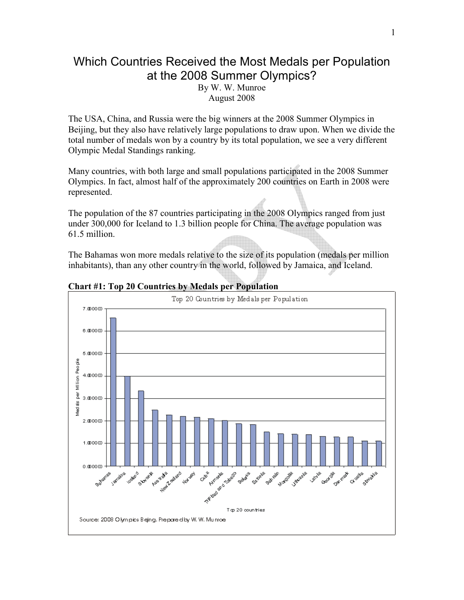## Which Countries Received the Most Medals per Population at the 2008 Summer Olympics?

By W. W. Munroe August 2008

The USA, China, and Russia were the big winners at the 2008 Summer Olympics in Beijing, but they also have relatively large populations to draw upon. When we divide the total number of medals won by a country by its total population, we see a very different Olympic Medal Standings ranking.

Many countries, with both large and small populations participated in the 2008 Summer Olympics. In fact, almost half of the approximately 200 countries on Earth in 2008 were represented.

The population of the 87 countries participating in the 2008 Olympics ranged from just under 300,000 for Iceland to 1.3 billion people for China. The average population was 61.5 million.

The Bahamas won more medals relative to the size of its population (medals per million inhabitants), than any other country in the world, followed by Jamaica, and Iceland.



**Chart #1: Top 20 Countries by Medals per Population**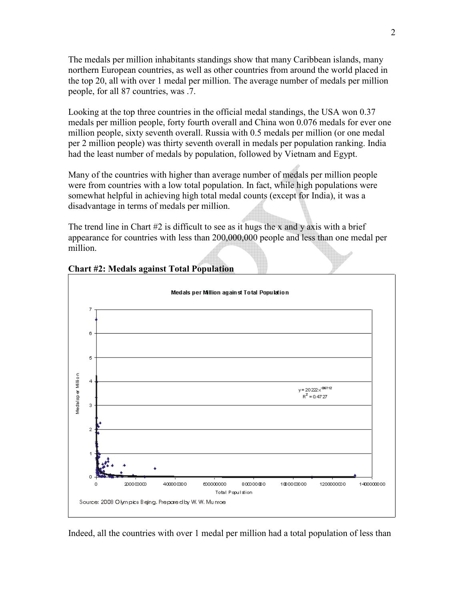The medals per million inhabitants standings show that many Caribbean islands, many northern European countries, as well as other countries from around the world placed in the top 20, all with over 1 medal per million. The average number of medals per million people, for all 87 countries, was .7.

Looking at the top three countries in the official medal standings, the USA won 0.37 medals per million people, forty fourth overall and China won 0.076 medals for ever one million people, sixty seventh overall. Russia with 0.5 medals per million (or one medal per 2 million people) was thirty seventh overall in medals per population ranking. India had the least number of medals by population, followed by Vietnam and Egypt.

Many of the countries with higher than average number of medals per million people were from countries with a low total population. In fact, while high populations were somewhat helpful in achieving high total medal counts (except for India), it was a disadvantage in terms of medals per million.

The trend line in Chart  $#2$  is difficult to see as it hugs the x and y axis with a brief appearance for countries with less than 200,000,000 people and less than one medal per million.



## **Chart #2: Medals against Total Population**

Indeed, all the countries with over 1 medal per million had a total population of less than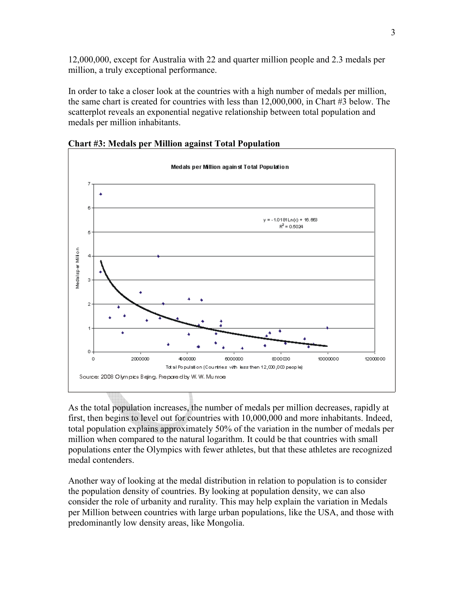12,000,000, except for Australia with 22 and quarter million people and 2.3 medals per million, a truly exceptional performance.

In order to take a closer look at the countries with a high number of medals per million, the same chart is created for countries with less than 12,000,000, in Chart #3 below. The scatterplot reveals an exponential negative relationship between total population and medals per million inhabitants.



**Chart #3: Medals per Million against Total Population** 

As the total population increases, the number of medals per million decreases, rapidly at first, then begins to level out for countries with 10,000,000 and more inhabitants. Indeed, total population explains approximately 50% of the variation in the number of medals per million when compared to the natural logarithm. It could be that countries with small populations enter the Olympics with fewer athletes, but that these athletes are recognized medal contenders.

Another way of looking at the medal distribution in relation to population is to consider the population density of countries. By looking at population density, we can also consider the role of urbanity and rurality. This may help explain the variation in Medals per Million between countries with large urban populations, like the USA, and those with predominantly low density areas, like Mongolia.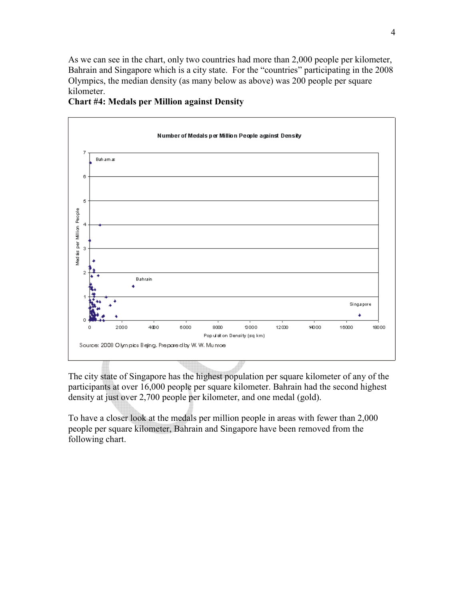As we can see in the chart, only two countries had more than 2,000 people per kilometer, Bahrain and Singapore which is a city state. For the "countries" participating in the 2008 Olympics, the median density (as many below as above) was 200 people per square kilometer.



## **Chart #4: Medals per Million against Density**

The city state of Singapore has the highest population per square kilometer of any of the participants at over 16,000 people per square kilometer. Bahrain had the second highest density at just over 2,700 people per kilometer, and one medal (gold).

To have a closer look at the medals per million people in areas with fewer than 2,000 people per square kilometer, Bahrain and Singapore have been removed from the following chart.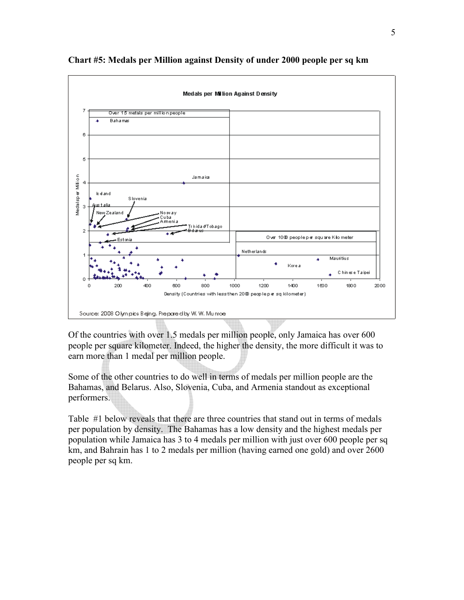

## **Chart #5: Medals per Million against Density of under 2000 people per sq km**

Of the countries with over 1.5 medals per million people, only Jamaica has over 600 people per square kilometer. Indeed, the higher the density, the more difficult it was to earn more than 1 medal per million people.

Some of the other countries to do well in terms of medals per million people are the Bahamas, and Belarus. Also, Slovenia, Cuba, and Armenia standout as exceptional performers.

Table #1 below reveals that there are three countries that stand out in terms of medals per population by density. The Bahamas has a low density and the highest medals per population while Jamaica has 3 to 4 medals per million with just over 600 people per sq km, and Bahrain has 1 to 2 medals per million (having earned one gold) and over 2600 people per sq km.